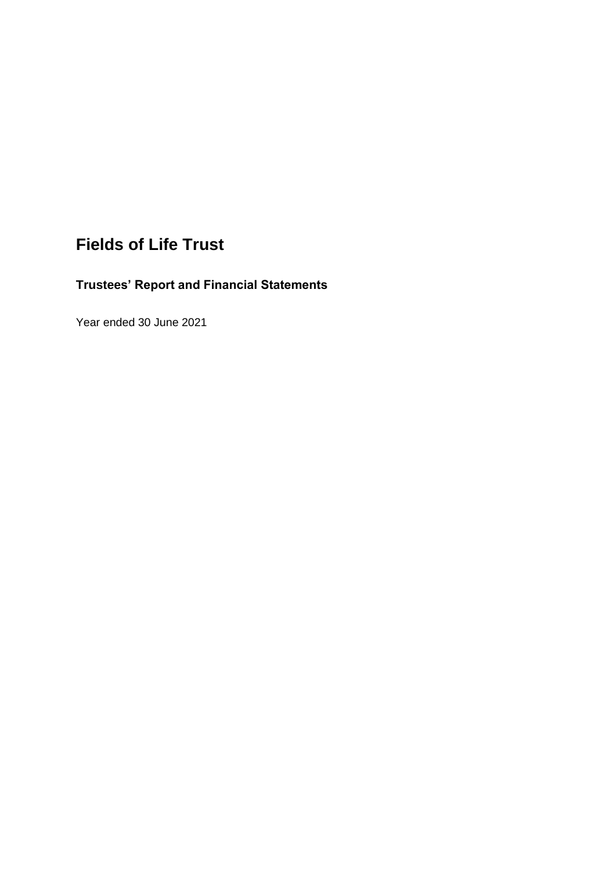# **Fields of Life Trust**

# **Trustees' Report and Financial Statements**

Year ended 30 June 2021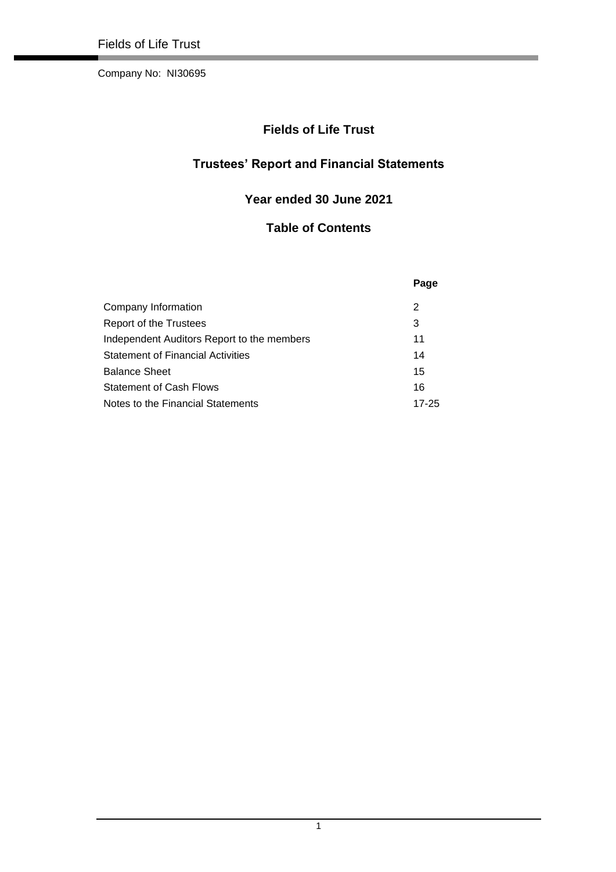Company No: NI30695

# **Fields of Life Trust**

# **Trustees' Report and Financial Statements**

# **Year ended 30 June 2021**

# **Table of Contents**

|                                            | Page  |
|--------------------------------------------|-------|
| Company Information                        | 2     |
| Report of the Trustees                     | 3     |
| Independent Auditors Report to the members | 11    |
| <b>Statement of Financial Activities</b>   | 14    |
| <b>Balance Sheet</b>                       | 15    |
| <b>Statement of Cash Flows</b>             | 16    |
| Notes to the Financial Statements          | 17-25 |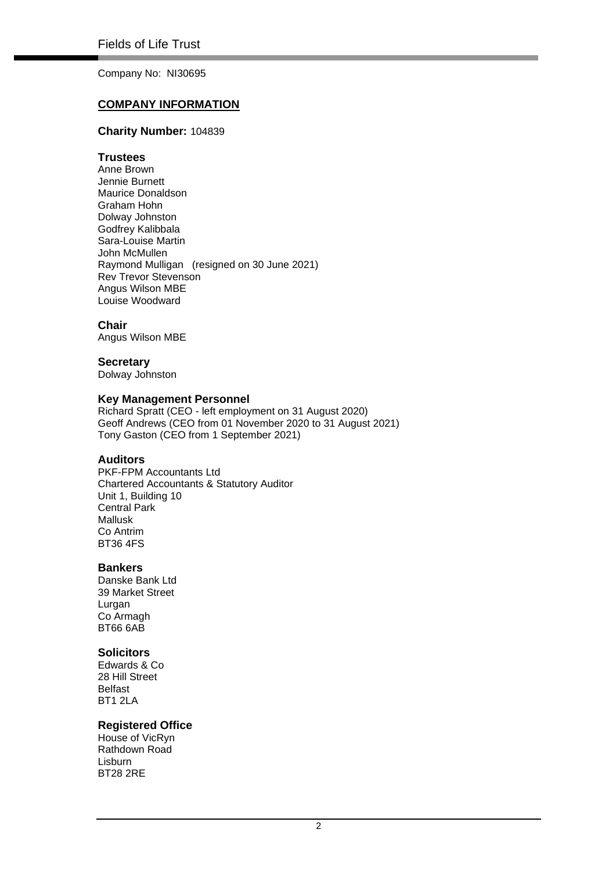Company No: NI30695

### **COMPANY INFORMATION**

#### **Charity Number:** 104839

#### **Trustees**

Anne Brown Jennie Burnett Maurice Donaldson Graham Hohn Dolway Johnston Godfrey Kalibbala Sara-Louise Martin John McMullen Raymond Mulligan (resigned on 30 June 2021) Rev Trevor Stevenson Angus Wilson MBE Louise Woodward

#### **Chair**

Angus Wilson MBE

#### **Secretary**

Dolway Johnston

### **Key Management Personnel**

Richard Spratt (CEO - left employment on 31 August 2020) Geoff Andrews (CEO from 01 November 2020 to 31 August 2021) Tony Gaston (CEO from 1 September 2021)

#### **Auditors**

PKF-FPM Accountants Ltd Chartered Accountants & Statutory Auditor Unit 1, Building 10 Central Park Mallusk Co Antrim BT36 4FS

#### **Bankers**

Danske Bank Ltd 39 Market Street Lurgan Co Armagh BT66 6AB

#### **Solicitors**

Edwards & Co 28 Hill Street Belfast BT1 2LA

#### **Registered Office**

House of VicRyn Rathdown Road Lisburn BT28 2RE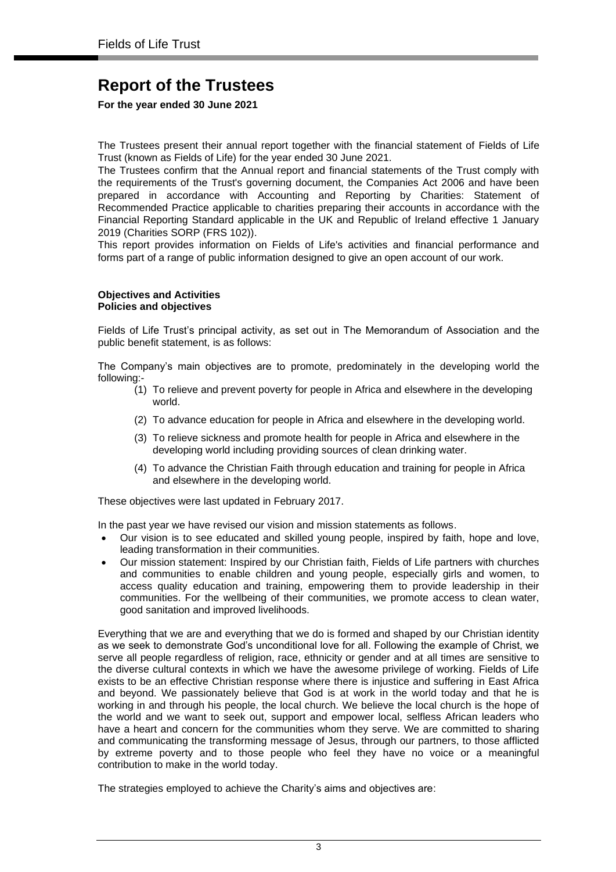**For the year ended 30 June 2021**

The Trustees present their annual report together with the financial statement of Fields of Life Trust (known as Fields of Life) for the year ended 30 June 2021.

The Trustees confirm that the Annual report and financial statements of the Trust comply with the requirements of the Trust's governing document, the Companies Act 2006 and have been prepared in accordance with Accounting and Reporting by Charities: Statement of Recommended Practice applicable to charities preparing their accounts in accordance with the Financial Reporting Standard applicable in the UK and Republic of Ireland effective 1 January 2019 (Charities SORP (FRS 102)).

This report provides information on Fields of Life's activities and financial performance and forms part of a range of public information designed to give an open account of our work.

#### **Objectives and Activities Policies and objectives**

Fields of Life Trust's principal activity, as set out in The Memorandum of Association and the public benefit statement, is as follows:

The Company's main objectives are to promote, predominately in the developing world the following:-

- (1) To relieve and prevent poverty for people in Africa and elsewhere in the developing world.
- (2) To advance education for people in Africa and elsewhere in the developing world.
- (3) To relieve sickness and promote health for people in Africa and elsewhere in the developing world including providing sources of clean drinking water.
- (4) To advance the Christian Faith through education and training for people in Africa and elsewhere in the developing world.

These objectives were last updated in February 2017.

In the past year we have revised our vision and mission statements as follows.

- Our vision is to see educated and skilled young people, inspired by faith, hope and love, leading transformation in their communities.
- Our mission statement: Inspired by our Christian faith, Fields of Life partners with churches and communities to enable children and young people, especially girls and women, to access quality education and training, empowering them to provide leadership in their communities. For the wellbeing of their communities, we promote access to clean water, good sanitation and improved livelihoods.

Everything that we are and everything that we do is formed and shaped by our Christian identity as we seek to demonstrate God's unconditional love for all. Following the example of Christ, we serve all people regardless of religion, race, ethnicity or gender and at all times are sensitive to the diverse cultural contexts in which we have the awesome privilege of working. Fields of Life exists to be an effective Christian response where there is injustice and suffering in East Africa and beyond. We passionately believe that God is at work in the world today and that he is working in and through his people, the local church. We believe the local church is the hope of the world and we want to seek out, support and empower local, selfless African leaders who have a heart and concern for the communities whom they serve. We are committed to sharing and communicating the transforming message of Jesus, through our partners, to those afflicted by extreme poverty and to those people who feel they have no voice or a meaningful contribution to make in the world today.

The strategies employed to achieve the Charity's aims and objectives are: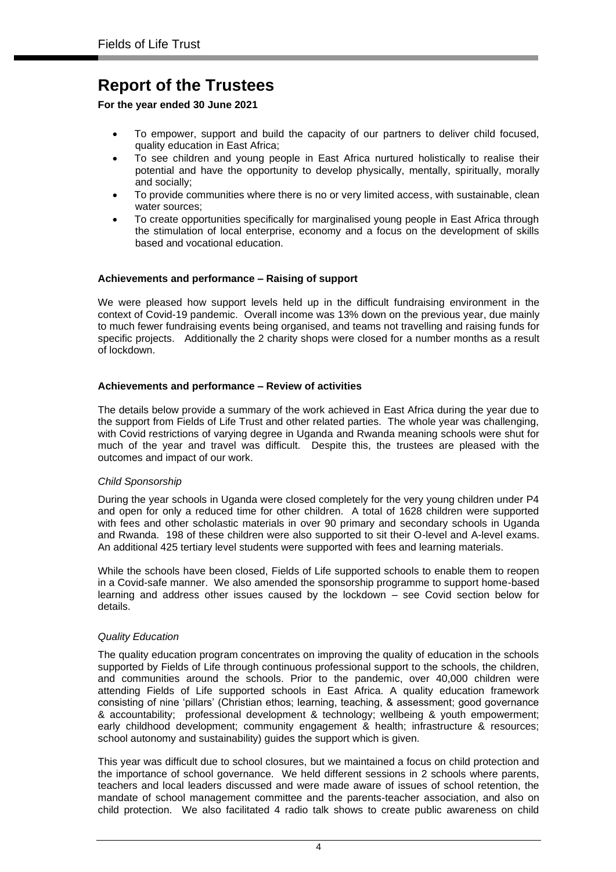**For the year ended 30 June 2021**

- To empower, support and build the capacity of our partners to deliver child focused, quality education in East Africa;
- To see children and young people in East Africa nurtured holistically to realise their potential and have the opportunity to develop physically, mentally, spiritually, morally and socially;
- To provide communities where there is no or very limited access, with sustainable, clean water sources;
- To create opportunities specifically for marginalised young people in East Africa through the stimulation of local enterprise, economy and a focus on the development of skills based and vocational education.

#### **Achievements and performance – Raising of support**

We were pleased how support levels held up in the difficult fundraising environment in the context of Covid-19 pandemic. Overall income was 13% down on the previous year, due mainly to much fewer fundraising events being organised, and teams not travelling and raising funds for specific projects. Additionally the 2 charity shops were closed for a number months as a result of lockdown.

#### **Achievements and performance – Review of activities**

The details below provide a summary of the work achieved in East Africa during the year due to the support from Fields of Life Trust and other related parties. The whole year was challenging, with Covid restrictions of varying degree in Uganda and Rwanda meaning schools were shut for much of the year and travel was difficult. Despite this, the trustees are pleased with the outcomes and impact of our work.

#### *Child Sponsorship*

During the year schools in Uganda were closed completely for the very young children under P4 and open for only a reduced time for other children. A total of 1628 children were supported with fees and other scholastic materials in over 90 primary and secondary schools in Uganda and Rwanda. 198 of these children were also supported to sit their O-level and A-level exams. An additional 425 tertiary level students were supported with fees and learning materials.

While the schools have been closed, Fields of Life supported schools to enable them to reopen in a Covid-safe manner. We also amended the sponsorship programme to support home-based learning and address other issues caused by the lockdown – see Covid section below for details.

#### *Quality Education*

The quality education program concentrates on improving the quality of education in the schools supported by Fields of Life through continuous professional support to the schools, the children, and communities around the schools. Prior to the pandemic, over 40,000 children were attending Fields of Life supported schools in East Africa. A quality education framework consisting of nine 'pillars' (Christian ethos; learning, teaching, & assessment; good governance & accountability; professional development & technology; wellbeing & youth empowerment; early childhood development; community engagement & health; infrastructure & resources; school autonomy and sustainability) guides the support which is given.

This year was difficult due to school closures, but we maintained a focus on child protection and the importance of school governance. We held different sessions in 2 schools where parents, teachers and local leaders discussed and were made aware of issues of school retention, the mandate of school management committee and the parents-teacher association, and also on child protection. We also facilitated 4 radio talk shows to create public awareness on child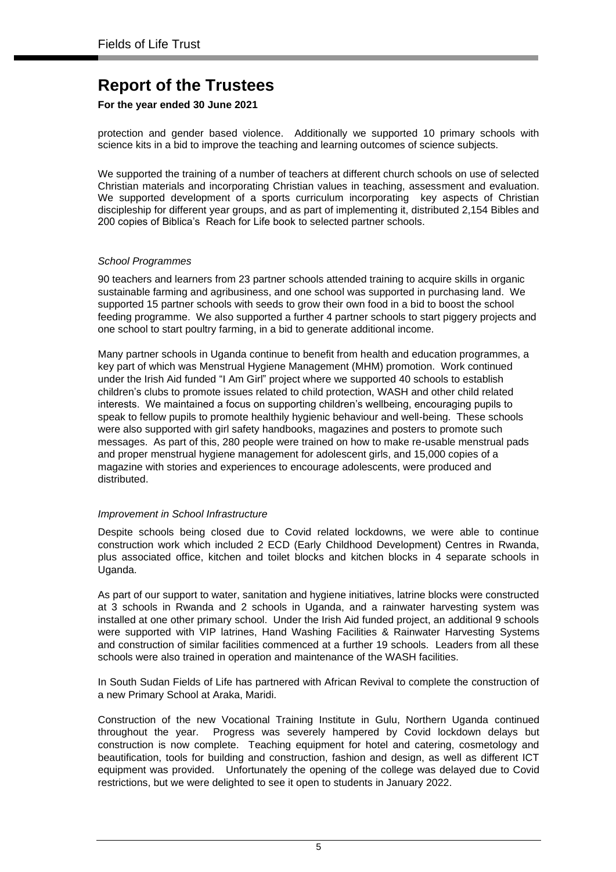#### **For the year ended 30 June 2021**

protection and gender based violence. Additionally we supported 10 primary schools with science kits in a bid to improve the teaching and learning outcomes of science subjects.

We supported the training of a number of teachers at different church schools on use of selected Christian materials and incorporating Christian values in teaching, assessment and evaluation. We supported development of a sports curriculum incorporating key aspects of Christian discipleship for different year groups, and as part of implementing it, distributed 2,154 Bibles and 200 copies of Biblica's Reach for Life book to selected partner schools.

#### *School Programmes*

90 teachers and learners from 23 partner schools attended training to acquire skills in organic sustainable farming and agribusiness, and one school was supported in purchasing land. We supported 15 partner schools with seeds to grow their own food in a bid to boost the school feeding programme. We also supported a further 4 partner schools to start piggery projects and one school to start poultry farming, in a bid to generate additional income.

Many partner schools in Uganda continue to benefit from health and education programmes, a key part of which was Menstrual Hygiene Management (MHM) promotion. Work continued under the Irish Aid funded "I Am Girl" project where we supported 40 schools to establish children's clubs to promote issues related to child protection, WASH and other child related interests. We maintained a focus on supporting children's wellbeing, encouraging pupils to speak to fellow pupils to promote healthily hygienic behaviour and well-being. These schools were also supported with girl safety handbooks, magazines and posters to promote such messages. As part of this, 280 people were trained on how to make re-usable menstrual pads and proper menstrual hygiene management for adolescent girls, and 15,000 copies of a magazine with stories and experiences to encourage adolescents, were produced and distributed.

#### *Improvement in School Infrastructure*

Despite schools being closed due to Covid related lockdowns, we were able to continue construction work which included 2 ECD (Early Childhood Development) Centres in Rwanda, plus associated office, kitchen and toilet blocks and kitchen blocks in 4 separate schools in Uganda.

As part of our support to water, sanitation and hygiene initiatives, latrine blocks were constructed at 3 schools in Rwanda and 2 schools in Uganda, and a rainwater harvesting system was installed at one other primary school. Under the Irish Aid funded project, an additional 9 schools were supported with VIP latrines, Hand Washing Facilities & Rainwater Harvesting Systems and construction of similar facilities commenced at a further 19 schools. Leaders from all these schools were also trained in operation and maintenance of the WASH facilities.

In South Sudan Fields of Life has partnered with African Revival to complete the construction of a new Primary School at Araka, Maridi.

Construction of the new Vocational Training Institute in Gulu, Northern Uganda continued throughout the year. Progress was severely hampered by Covid lockdown delays but construction is now complete. Teaching equipment for hotel and catering, cosmetology and beautification, tools for building and construction, fashion and design, as well as different ICT equipment was provided. Unfortunately the opening of the college was delayed due to Covid restrictions, but we were delighted to see it open to students in January 2022.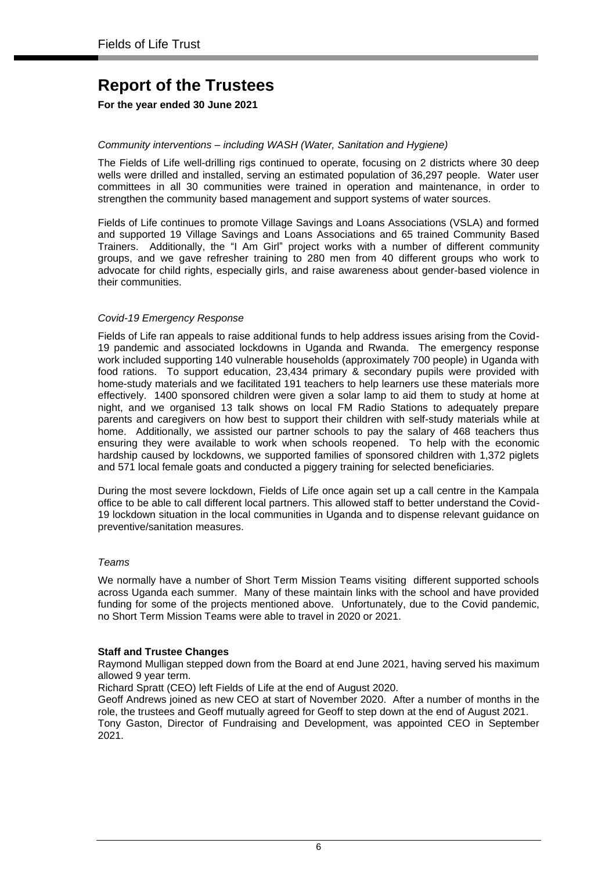#### **For the year ended 30 June 2021**

#### *Community interventions – including WASH (Water, Sanitation and Hygiene)*

The Fields of Life well-drilling rigs continued to operate, focusing on 2 districts where 30 deep wells were drilled and installed, serving an estimated population of 36,297 people. Water user committees in all 30 communities were trained in operation and maintenance, in order to strengthen the community based management and support systems of water sources.

Fields of Life continues to promote Village Savings and Loans Associations (VSLA) and formed and supported 19 Village Savings and Loans Associations and 65 trained Community Based Trainers. Additionally, the "I Am Girl" project works with a number of different community groups, and we gave refresher training to 280 men from 40 different groups who work to advocate for child rights, especially girls, and raise awareness about gender-based violence in their communities.

#### *Covid-19 Emergency Response*

Fields of Life ran appeals to raise additional funds to help address issues arising from the Covid-19 pandemic and associated lockdowns in Uganda and Rwanda. The emergency response work included supporting 140 vulnerable households (approximately 700 people) in Uganda with food rations. To support education, 23,434 primary & secondary pupils were provided with home-study materials and we facilitated 191 teachers to help learners use these materials more effectively. 1400 sponsored children were given a solar lamp to aid them to study at home at night, and we organised 13 talk shows on local FM Radio Stations to adequately prepare parents and caregivers on how best to support their children with self-study materials while at home. Additionally, we assisted our partner schools to pay the salary of 468 teachers thus ensuring they were available to work when schools reopened. To help with the economic hardship caused by lockdowns, we supported families of sponsored children with 1,372 piglets and 571 local female goats and conducted a piggery training for selected beneficiaries.

During the most severe lockdown, Fields of Life once again set up a call centre in the Kampala office to be able to call different local partners. This allowed staff to better understand the Covid-19 lockdown situation in the local communities in Uganda and to dispense relevant guidance on preventive/sanitation measures.

#### *Teams*

We normally have a number of Short Term Mission Teams visiting different supported schools across Uganda each summer. Many of these maintain links with the school and have provided funding for some of the projects mentioned above. Unfortunately, due to the Covid pandemic, no Short Term Mission Teams were able to travel in 2020 or 2021.

#### **Staff and Trustee Changes**

Raymond Mulligan stepped down from the Board at end June 2021, having served his maximum allowed 9 year term.

Richard Spratt (CEO) left Fields of Life at the end of August 2020.

Geoff Andrews joined as new CEO at start of November 2020. After a number of months in the role, the trustees and Geoff mutually agreed for Geoff to step down at the end of August 2021. Tony Gaston, Director of Fundraising and Development, was appointed CEO in September 2021.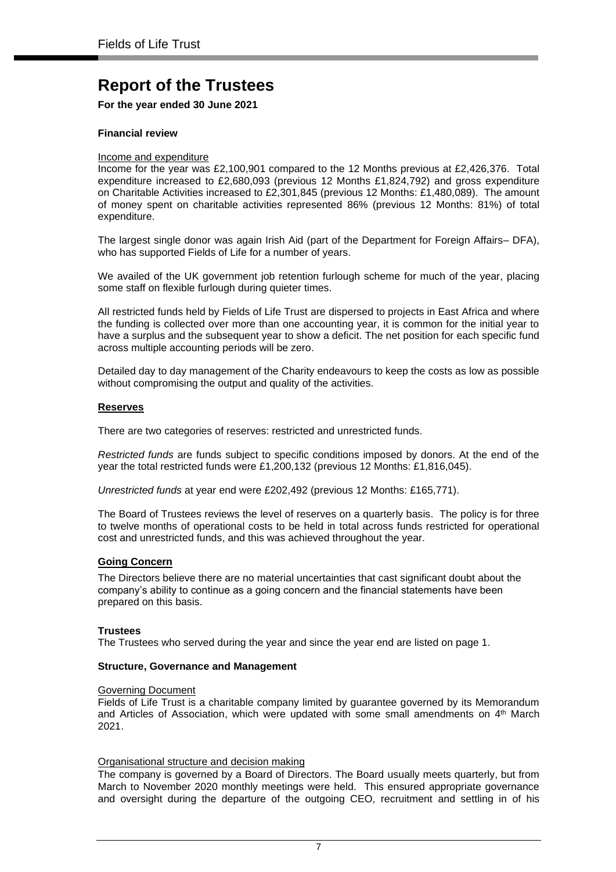**For the year ended 30 June 2021**

#### **Financial review**

#### Income and expenditure

Income for the year was £2,100,901 compared to the 12 Months previous at £2,426,376. Total expenditure increased to £2,680,093 (previous 12 Months £1,824,792) and gross expenditure on Charitable Activities increased to £2,301,845 (previous 12 Months: £1,480,089). The amount of money spent on charitable activities represented 86% (previous 12 Months: 81%) of total expenditure.

The largest single donor was again Irish Aid (part of the Department for Foreign Affairs– DFA), who has supported Fields of Life for a number of years.

We availed of the UK government job retention furlough scheme for much of the year, placing some staff on flexible furlough during quieter times.

All restricted funds held by Fields of Life Trust are dispersed to projects in East Africa and where the funding is collected over more than one accounting year, it is common for the initial year to have a surplus and the subsequent year to show a deficit. The net position for each specific fund across multiple accounting periods will be zero.

Detailed day to day management of the Charity endeavours to keep the costs as low as possible without compromising the output and quality of the activities.

#### **Reserves**

There are two categories of reserves: restricted and unrestricted funds.

*Restricted funds* are funds subject to specific conditions imposed by donors. At the end of the year the total restricted funds were £1,200,132 (previous 12 Months: £1,816,045).

*Unrestricted funds* at year end were £202,492 (previous 12 Months: £165,771).

The Board of Trustees reviews the level of reserves on a quarterly basis. The policy is for three to twelve months of operational costs to be held in total across funds restricted for operational cost and unrestricted funds, and this was achieved throughout the year.

#### **Going Concern**

The Directors believe there are no material uncertainties that cast significant doubt about the company's ability to continue as a going concern and the financial statements have been prepared on this basis.

#### **Trustees**

The Trustees who served during the year and since the year end are listed on page 1.

#### **Structure, Governance and Management**

#### Governing Document

Fields of Life Trust is a charitable company limited by guarantee governed by its Memorandum and Articles of Association, which were updated with some small amendments on  $4<sup>th</sup>$  March 2021.

#### Organisational structure and decision making

The company is governed by a Board of Directors. The Board usually meets quarterly, but from March to November 2020 monthly meetings were held. This ensured appropriate governance and oversight during the departure of the outgoing CEO, recruitment and settling in of his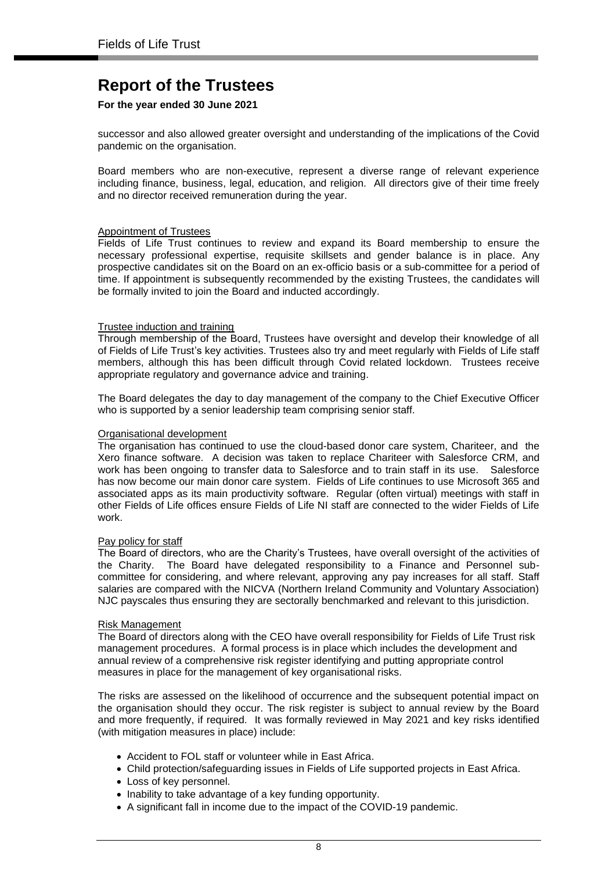#### **For the year ended 30 June 2021**

successor and also allowed greater oversight and understanding of the implications of the Covid pandemic on the organisation.

Board members who are non-executive, represent a diverse range of relevant experience including finance, business, legal, education, and religion. All directors give of their time freely and no director received remuneration during the year.

#### Appointment of Trustees

Fields of Life Trust continues to review and expand its Board membership to ensure the necessary professional expertise, requisite skillsets and gender balance is in place. Any prospective candidates sit on the Board on an ex-officio basis or a sub-committee for a period of time. If appointment is subsequently recommended by the existing Trustees, the candidates will be formally invited to join the Board and inducted accordingly.

#### Trustee induction and training

Through membership of the Board, Trustees have oversight and develop their knowledge of all of Fields of Life Trust's key activities. Trustees also try and meet regularly with Fields of Life staff members, although this has been difficult through Covid related lockdown. Trustees receive appropriate regulatory and governance advice and training.

The Board delegates the day to day management of the company to the Chief Executive Officer who is supported by a senior leadership team comprising senior staff.

#### Organisational development

The organisation has continued to use the cloud-based donor care system, Chariteer, and the Xero finance software. A decision was taken to replace Chariteer with Salesforce CRM, and work has been ongoing to transfer data to Salesforce and to train staff in its use. Salesforce has now become our main donor care system. Fields of Life continues to use Microsoft 365 and associated apps as its main productivity software. Regular (often virtual) meetings with staff in other Fields of Life offices ensure Fields of Life NI staff are connected to the wider Fields of Life work.

#### Pay policy for staff

The Board of directors, who are the Charity's Trustees, have overall oversight of the activities of the Charity. The Board have delegated responsibility to a Finance and Personnel subcommittee for considering, and where relevant, approving any pay increases for all staff. Staff salaries are compared with the NICVA (Northern Ireland Community and Voluntary Association) NJC payscales thus ensuring they are sectorally benchmarked and relevant to this jurisdiction.

#### Risk Management

The Board of directors along with the CEO have overall responsibility for Fields of Life Trust risk management procedures. A formal process is in place which includes the development and annual review of a comprehensive risk register identifying and putting appropriate control measures in place for the management of key organisational risks.

The risks are assessed on the likelihood of occurrence and the subsequent potential impact on the organisation should they occur. The risk register is subject to annual review by the Board and more frequently, if required. It was formally reviewed in May 2021 and key risks identified (with mitigation measures in place) include:

- Accident to FOL staff or volunteer while in East Africa.
- Child protection/safeguarding issues in Fields of Life supported projects in East Africa.
- Loss of key personnel.
- Inability to take advantage of a key funding opportunity.
- A significant fall in income due to the impact of the COVID-19 pandemic.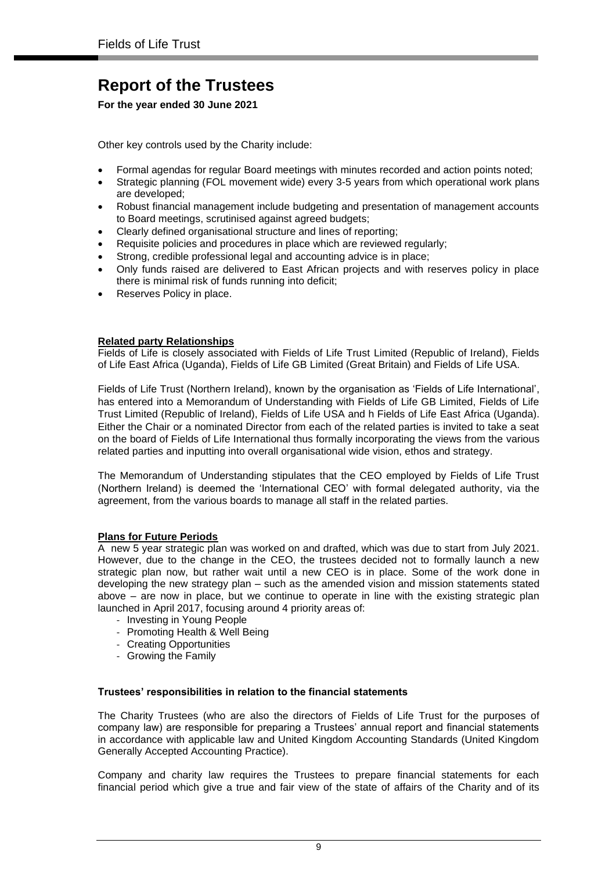#### **For the year ended 30 June 2021**

Other key controls used by the Charity include:

- Formal agendas for regular Board meetings with minutes recorded and action points noted;
- Strategic planning (FOL movement wide) every 3-5 years from which operational work plans are developed;
- Robust financial management include budgeting and presentation of management accounts to Board meetings, scrutinised against agreed budgets;
- Clearly defined organisational structure and lines of reporting;
- Requisite policies and procedures in place which are reviewed regularly;
- Strong, credible professional legal and accounting advice is in place;
- Only funds raised are delivered to East African projects and with reserves policy in place there is minimal risk of funds running into deficit;
- Reserves Policy in place.

#### **Related party Relationships**

Fields of Life is closely associated with Fields of Life Trust Limited (Republic of Ireland), Fields of Life East Africa (Uganda), Fields of Life GB Limited (Great Britain) and Fields of Life USA.

Fields of Life Trust (Northern Ireland), known by the organisation as 'Fields of Life International', has entered into a Memorandum of Understanding with Fields of Life GB Limited, Fields of Life Trust Limited (Republic of Ireland), Fields of Life USA and h Fields of Life East Africa (Uganda). Either the Chair or a nominated Director from each of the related parties is invited to take a seat on the board of Fields of Life International thus formally incorporating the views from the various related parties and inputting into overall organisational wide vision, ethos and strategy.

The Memorandum of Understanding stipulates that the CEO employed by Fields of Life Trust (Northern Ireland) is deemed the 'International CEO' with formal delegated authority, via the agreement, from the various boards to manage all staff in the related parties.

#### **Plans for Future Periods**

A new 5 year strategic plan was worked on and drafted, which was due to start from July 2021. However, due to the change in the CEO, the trustees decided not to formally launch a new strategic plan now, but rather wait until a new CEO is in place. Some of the work done in developing the new strategy plan – such as the amended vision and mission statements stated above – are now in place, but we continue to operate in line with the existing strategic plan launched in April 2017, focusing around 4 priority areas of:

- Investing in Young People
- Promoting Health & Well Being
- Creating Opportunities
- Growing the Family

#### **Trustees' responsibilities in relation to the financial statements**

The Charity Trustees (who are also the directors of Fields of Life Trust for the purposes of company law) are responsible for preparing a Trustees' annual report and financial statements in accordance with applicable law and United Kingdom Accounting Standards (United Kingdom Generally Accepted Accounting Practice).

Company and charity law requires the Trustees to prepare financial statements for each financial period which give a true and fair view of the state of affairs of the Charity and of its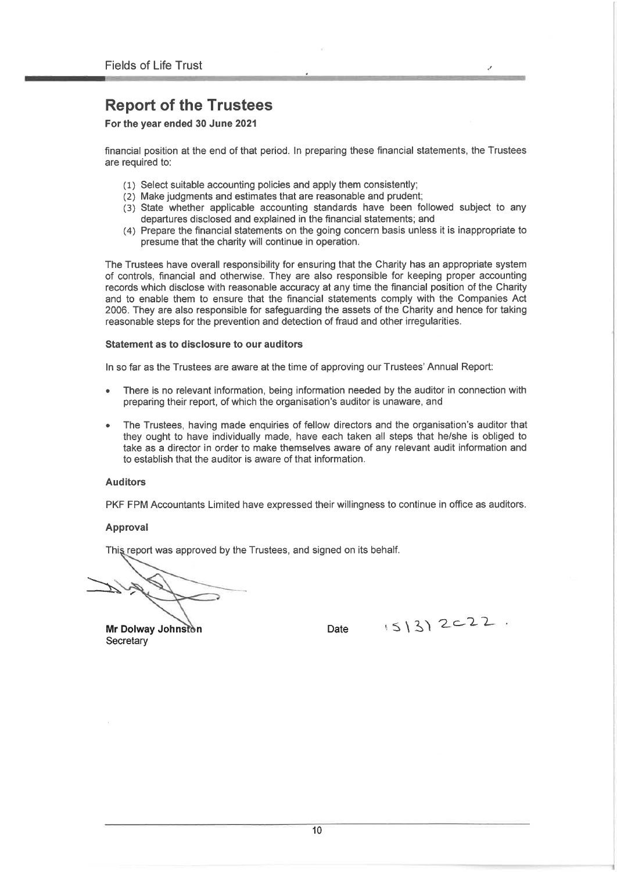For the year ended 30 June 2021

financial position at the end of that period. In preparing these financial statements, the Trustees are required to:

- (1) Select suitable accounting policies and apply them consistently;
- (2) Make judgments and estimates that are reasonable and prudent;
- (3) State whether applicable accounting standards have been followed subject to any departures disclosed and explained in the financial statements; and
- (4) Prepare the financial statements on the going concern basis unless it is inappropriate to presume that the charity will continue in operation.

The Trustees have overall responsibility for ensuring that the Charity has an appropriate system of controls, financial and otherwise. They are also responsible for keeping proper accounting records which disclose with reasonable accuracy at any time the financial position of the Charity and to enable them to ensure that the financial statements comply with the Companies Act 2006. They are also responsible for safeguarding the assets of the Charity and hence for taking reasonable steps for the prevention and detection of fraud and other irregularities.

#### Statement as to disclosure to our auditors

In so far as the Trustees are aware at the time of approving our Trustees' Annual Report:

- There is no relevant information, being information needed by the auditor in connection with preparing their report, of which the organisation's auditor is unaware, and
- The Trustees, having made enquiries of fellow directors and the organisation's auditor that they ought to have individually made, have each taken all steps that he/she is obliged to take as a director in order to make themselves aware of any relevant audit information and to establish that the auditor is aware of that information.

#### **Auditors**

PKF FPM Accountants Limited have expressed their willingness to continue in office as auditors.

#### Approval

This report was approved by the Trustees, and signed on its behalf.

Mr Dolway Johnston Secretary

Date

 $(5|3)$  2c22.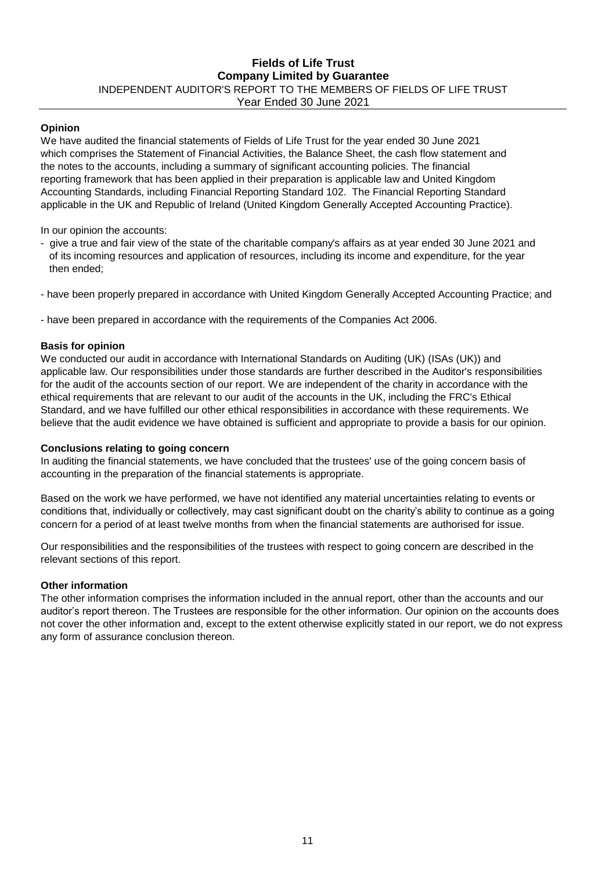#### **Fields of Life Trust Company Limited by Guarantee** INDEPENDENT AUDITOR'S REPORT TO THE MEMBERS OF FIELDS OF LIFE TRUST Year Ended 30 June 2021

#### **Opinion**

We have audited the financial statements of Fields of Life Trust for the year ended 30 June 2021 which comprises the Statement of Financial Activities, the Balance Sheet, the cash flow statement and the notes to the accounts, including a summary of significant accounting policies. The financial reporting framework that has been applied in their preparation is applicable law and United Kingdom Accounting Standards, including Financial Reporting Standard 102. The Financial Reporting Standard applicable in the UK and Republic of Ireland (United Kingdom Generally Accepted Accounting Practice).

In our opinion the accounts:

- give a true and fair view of the state of the charitable company's affairs as at year ended 30 June 2021 and of its incoming resources and application of resources, including its income and expenditure, for the year then ended;
- have been properly prepared in accordance with United Kingdom Generally Accepted Accounting Practice; and
- have been prepared in accordance with the requirements of the Companies Act 2006.

#### **Basis for opinion**

We conducted our audit in accordance with International Standards on Auditing (UK) (ISAs (UK)) and applicable law. Our responsibilities under those standards are further described in the Auditor's responsibilities for the audit of the accounts section of our report. We are independent of the charity in accordance with the ethical requirements that are relevant to our audit of the accounts in the UK, including the FRC's Ethical Standard, and we have fulfilled our other ethical responsibilities in accordance with these requirements. We believe that the audit evidence we have obtained is sufficient and appropriate to provide a basis for our opinion.

#### **Conclusions relating to going concern**

In auditing the financial statements, we have concluded that the trustees' use of the going concern basis of accounting in the preparation of the financial statements is appropriate.

Based on the work we have performed, we have not identified any material uncertainties relating to events or conditions that, individually or collectively, may cast significant doubt on the charity's ability to continue as a going concern for a period of at least twelve months from when the financial statements are authorised for issue.

Our responsibilities and the responsibilities of the trustees with respect to going concern are described in the relevant sections of this report.

#### **Other information**

The other information comprises the information included in the annual report, other than the accounts and our auditor's report thereon. The Trustees are responsible for the other information. Our opinion on the accounts does not cover the other information and, except to the extent otherwise explicitly stated in our report, we do not express any form of assurance conclusion thereon.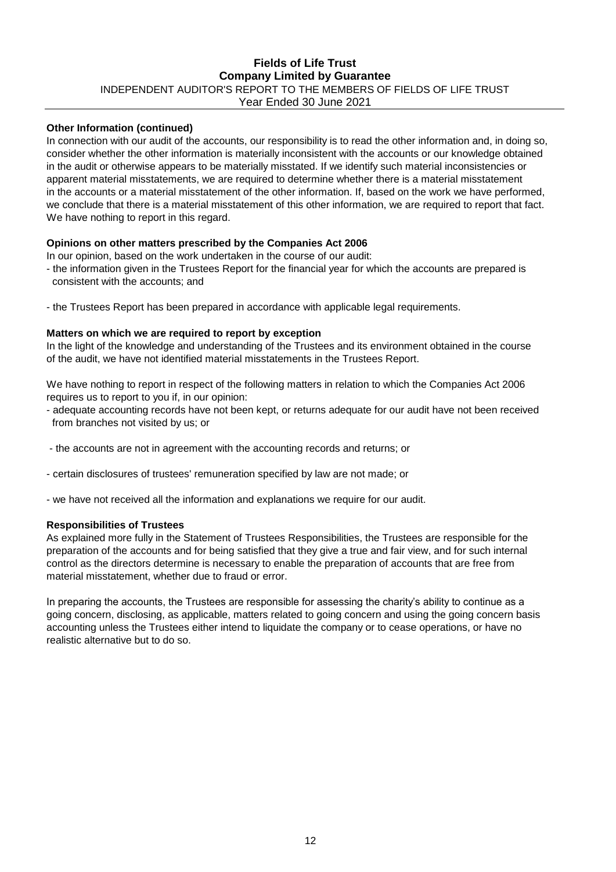#### Year Ended 30 June 2021 **Fields of Life Trust Company Limited by Guarantee** INDEPENDENT AUDITOR'S REPORT TO THE MEMBERS OF FIELDS OF LIFE TRUST

#### **Other Information (continued)**

In connection with our audit of the accounts, our responsibility is to read the other information and, in doing so, consider whether the other information is materially inconsistent with the accounts or our knowledge obtained in the audit or otherwise appears to be materially misstated. If we identify such material inconsistencies or apparent material misstatements, we are required to determine whether there is a material misstatement in the accounts or a material misstatement of the other information. If, based on the work we have performed, we conclude that there is a material misstatement of this other information, we are required to report that fact. We have nothing to report in this regard.

#### **Opinions on other matters prescribed by the Companies Act 2006**

In our opinion, based on the work undertaken in the course of our audit:

- the information given in the Trustees Report for the financial year for which the accounts are prepared is consistent with the accounts; and
- the Trustees Report has been prepared in accordance with applicable legal requirements.

#### **Matters on which we are required to report by exception**

In the light of the knowledge and understanding of the Trustees and its environment obtained in the course of the audit, we have not identified material misstatements in the Trustees Report.

We have nothing to report in respect of the following matters in relation to which the Companies Act 2006 requires us to report to you if, in our opinion:

- adequate accounting records have not been kept, or returns adequate for our audit have not been received from branches not visited by us; or
- the accounts are not in agreement with the accounting records and returns; or
- certain disclosures of trustees' remuneration specified by law are not made; or
- we have not received all the information and explanations we require for our audit.

#### **Responsibilities of Trustees**

As explained more fully in the Statement of Trustees Responsibilities, the Trustees are responsible for the preparation of the accounts and for being satisfied that they give a true and fair view, and for such internal control as the directors determine is necessary to enable the preparation of accounts that are free from material misstatement, whether due to fraud or error.

In preparing the accounts, the Trustees are responsible for assessing the charity's ability to continue as a going concern, disclosing, as applicable, matters related to going concern and using the going concern basis accounting unless the Trustees either intend to liquidate the company or to cease operations, or have no realistic alternative but to do so.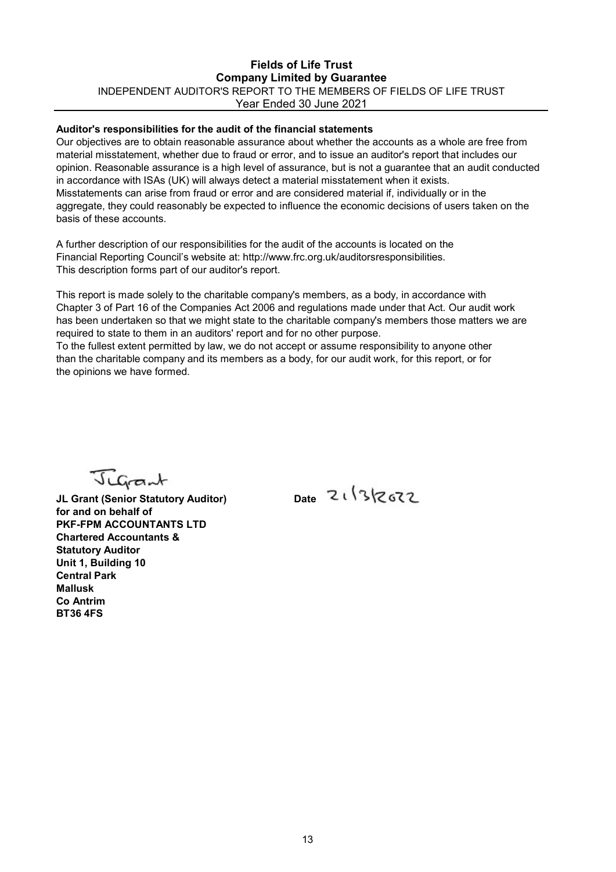#### Fields of Life Trust Company Limited by Guarantee INDEPENDENT AUDITOR'S REPORT TO THE MEMBERS OF FIELDS OF LIFE TRUST Year Ended 30 June 2021

#### Auditor's responsibilities for the audit of the financial statements

Our objectives are to obtain reasonable assurance about whether the accounts as a whole are free from material misstatement, whether due to fraud or error, and to issue an auditor's report that includes our opinion. Reasonable assurance is a high level of assurance, but is not a guarantee that an audit conducted in accordance with ISAs (UK) will always detect a material misstatement when it exists. Misstatements can arise from fraud or error and are considered material if, individually or in the aggregate, they could reasonably be expected to influence the economic decisions of users taken on the basis of these accounts.

A further description of our responsibilities for the audit of the accounts is located on the Financial Reporting Council's website at: http://www.frc.org.uk/auditorsresponsibilities. This description forms part of our auditor's report.

This report is made solely to the charitable company's members, as a body, in accordance with Chapter 3 of Part 16 of the Companies Act 2006 and regulations made under that Act. Our audit work has been undertaken so that we might state to the charitable company's members those matters we are required to state to them in an auditors' report and for no other purpose.

To the fullest extent permitted by law, we do not accept or assume responsibility to anyone other than the charitable company and its members as a body, for our audit work, for this report, or for the opinions we have formed.

Jugant

JL Grant (Senior Statutory Auditor) Date 21/3/2672 for and on behalf of PKF-FPM ACCOUNTANTS LTD Chartered Accountants & Statutory Auditor Unit 1, Building 10 Central Park Mallusk Co Antrim BT36 4FS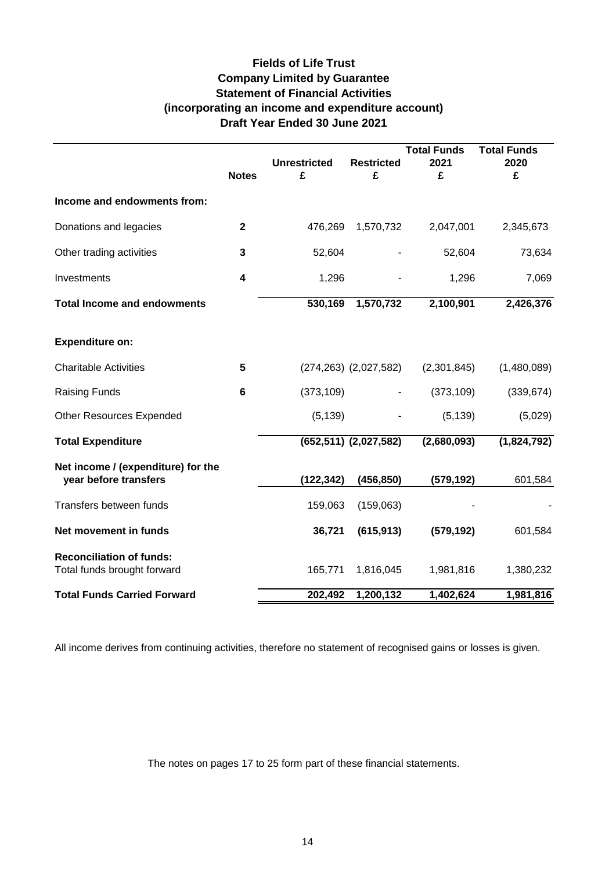# **Fields of Life Trust Company Limited by Guarantee Statement of Financial Activities (incorporating an income and expenditure account) Draft Year Ended 30 June 2021**

|                                                                |                         |                     |                              | <b>Total Funds</b>     | <b>Total Funds</b> |
|----------------------------------------------------------------|-------------------------|---------------------|------------------------------|------------------------|--------------------|
|                                                                |                         | <b>Unrestricted</b> | <b>Restricted</b>            | 2021                   | 2020               |
|                                                                | <b>Notes</b>            | £                   | £                            | £                      | £                  |
| Income and endowments from:                                    |                         |                     |                              |                        |                    |
| Donations and legacies                                         | $\mathbf 2$             | 476,269             | 1,570,732                    | 2,047,001              | 2,345,673          |
| Other trading activities                                       | 3                       | 52,604              |                              | 52,604                 | 73,634             |
| Investments                                                    | $\overline{\mathbf{4}}$ | 1,296               |                              | 1,296                  | 7,069              |
| <b>Total Income and endowments</b>                             |                         | 530,169             | 1,570,732                    | 2,100,901              | 2,426,376          |
| <b>Expenditure on:</b>                                         |                         |                     |                              |                        |                    |
| <b>Charitable Activities</b>                                   | 5                       |                     | $(274, 263)$ $(2, 027, 582)$ | (2,301,845)            | (1,480,089)        |
| <b>Raising Funds</b>                                           | 6                       | (373, 109)          |                              | (373, 109)             | (339, 674)         |
| <b>Other Resources Expended</b>                                |                         | (5, 139)            |                              | (5, 139)               | (5,029)            |
| <b>Total Expenditure</b>                                       |                         |                     | $(652, 511)$ $(2, 027, 582)$ | (2,680,093)            | (1,824,792)        |
| Net income / (expenditure) for the                             |                         |                     |                              |                        |                    |
| year before transfers                                          |                         | (122,342)           | (456, 850)                   | (579,192)              | 601,584            |
| Transfers between funds                                        |                         | 159,063             | (159,063)                    |                        |                    |
| Net movement in funds                                          |                         | 36,721              | (615, 913)                   | (579, 192)             | 601,584            |
| <b>Reconciliation of funds:</b><br>Total funds brought forward |                         | 165,771             | 1,816,045                    | 1,981,816              | 1,380,232          |
| <b>Total Funds Carried Forward</b>                             |                         | 202,492             | 1,200,132                    | $\overline{1,}402,624$ | 1,981,816          |

All income derives from continuing activities, therefore no statement of recognised gains or losses is given.

The notes on pages 17 to 25 form part of these financial statements.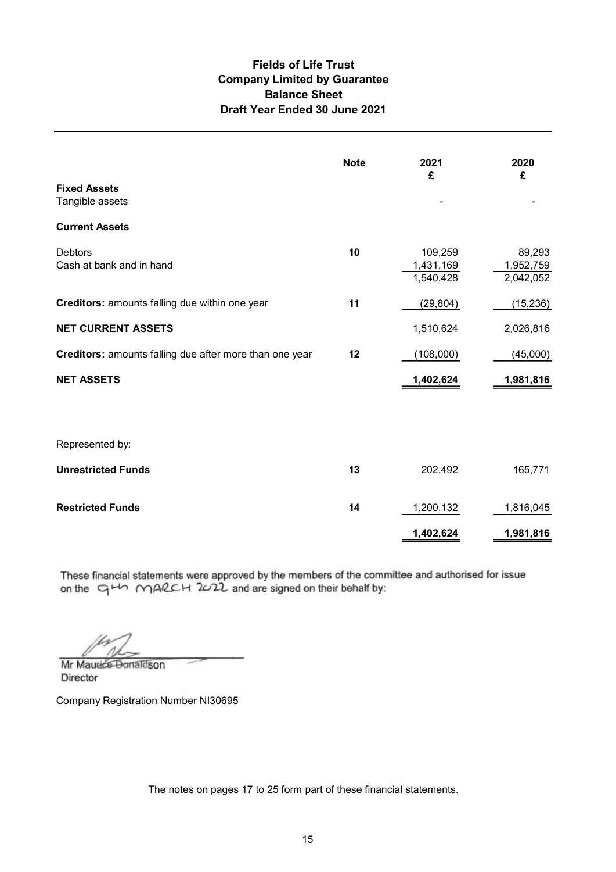### Fields of Life Trust Balance Sheet Draft Year Ended 30 June 2021 Company Limited by Guarantee

| <b>Fields of Life Trust</b><br><b>Company Limited by Guarantee</b><br><b>Balance Sheet</b><br>Draft Year Ended 30 June 2021 |             |                                   |                                  |
|-----------------------------------------------------------------------------------------------------------------------------|-------------|-----------------------------------|----------------------------------|
|                                                                                                                             | <b>Note</b> | 2021<br>£                         | 2020<br>£                        |
| <b>Fixed Assets</b><br>Tangible assets                                                                                      |             |                                   |                                  |
| <b>Current Assets</b>                                                                                                       |             |                                   |                                  |
| Debtors<br>Cash at bank and in hand                                                                                         | 10          | 109,259<br>1,431,169<br>1,540,428 | 89,293<br>1,952,759<br>2,042,052 |
| Creditors: amounts falling due within one year                                                                              | 11          | (29, 804)                         | (15, 236)                        |
| <b>NET CURRENT ASSETS</b>                                                                                                   |             | 1,510,624                         | 2,026,816                        |
| Creditors: amounts falling due after more than one year                                                                     | 12          | (108,000)                         | (45,000)                         |
| <b>NET ASSETS</b>                                                                                                           |             | 1,402,624                         | 1,981,816                        |
| Represented by:                                                                                                             |             |                                   |                                  |
| <b>Unrestricted Funds</b>                                                                                                   | 13          | 202,492                           | 165,771                          |
| <b>Restricted Funds</b>                                                                                                     | 14          | 1,200,132                         | 1,816,045                        |
|                                                                                                                             |             | 1,402,624                         | 1,981,816                        |

These financial statements were approved by the members of the committee and authorised for issue on the  $\Box$   $\Box$   $\land$   $\land$   $\Box$   $\Diamond$   $\Diamond$   $\Diamond$   $\Box$   $\Diamond$  and are signed on their behalf by:

Mr Maurice Donaldson **Director** 

Company Registration Number NI30695

The notes on pages 17 to 25 form part of these financial statements.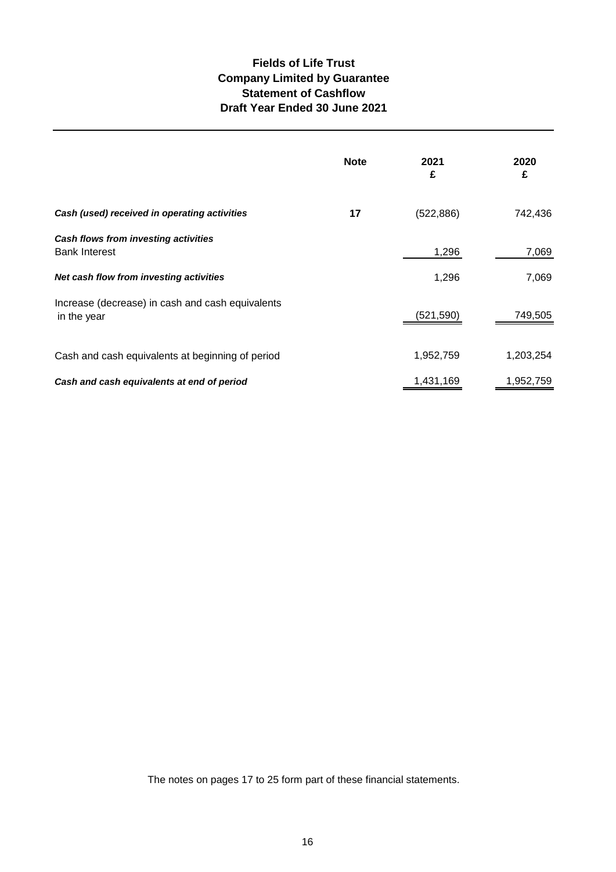## **Fields of Life Trust Company Limited by Guarantee Statement of Cashflow Draft Year Ended 30 June 2021**

|                                                                 | <b>Note</b> | 2021<br>£  | 2020<br>£ |
|-----------------------------------------------------------------|-------------|------------|-----------|
| Cash (used) received in operating activities                    | 17          | (522, 886) | 742,436   |
| Cash flows from investing activities<br><b>Bank Interest</b>    |             | 1,296      | 7,069     |
| Net cash flow from investing activities                         |             | 1,296      | 7,069     |
| Increase (decrease) in cash and cash equivalents<br>in the year |             | (521, 590) | 749,505   |
| Cash and cash equivalents at beginning of period                |             | 1,952,759  | 1,203,254 |
| Cash and cash equivalents at end of period                      |             | 1,431,169  | 1,952,759 |

The notes on pages 17 to 25 form part of these financial statements.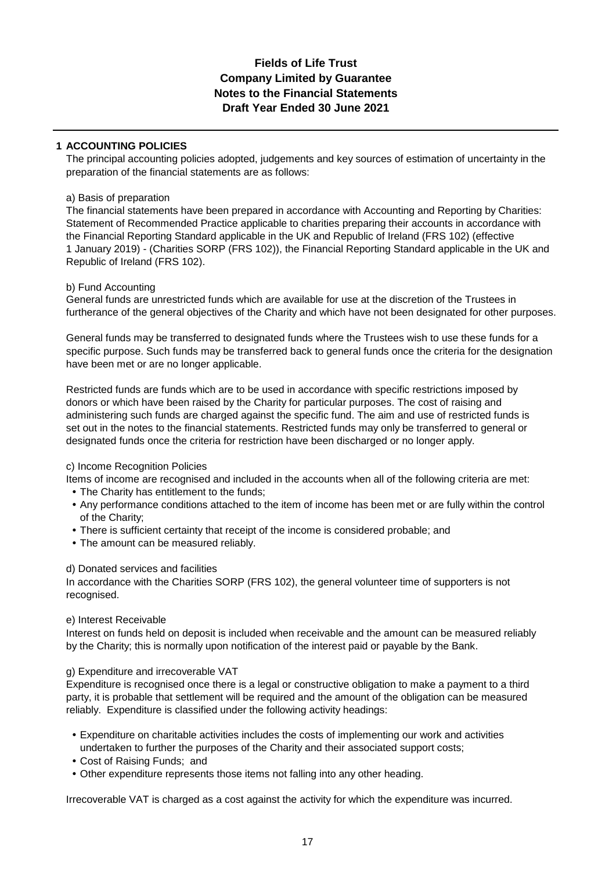## **Fields of Life Trust Notes to the Financial Statements Draft Year Ended 30 June 2021 Company Limited by Guarantee**

#### **1 ACCOUNTING POLICIES**

The principal accounting policies adopted, judgements and key sources of estimation of uncertainty in the preparation of the financial statements are as follows:

#### a) Basis of preparation

The financial statements have been prepared in accordance with Accounting and Reporting by Charities: Statement of Recommended Practice applicable to charities preparing their accounts in accordance with the Financial Reporting Standard applicable in the UK and Republic of Ireland (FRS 102) (effective 1 January 2019) - (Charities SORP (FRS 102)), the Financial Reporting Standard applicable in the UK and Republic of Ireland (FRS 102).

#### b) Fund Accounting

General funds are unrestricted funds which are available for use at the discretion of the Trustees in furtherance of the general objectives of the Charity and which have not been designated for other purposes.

General funds may be transferred to designated funds where the Trustees wish to use these funds for a specific purpose. Such funds may be transferred back to general funds once the criteria for the designation have been met or are no longer applicable.

Restricted funds are funds which are to be used in accordance with specific restrictions imposed by donors or which have been raised by the Charity for particular purposes. The cost of raising and administering such funds are charged against the specific fund. The aim and use of restricted funds is set out in the notes to the financial statements. Restricted funds may only be transferred to general or designated funds once the criteria for restriction have been discharged or no longer apply.

#### c) Income Recognition Policies

Items of income are recognised and included in the accounts when all of the following criteria are met:

- **•** The Charity has entitlement to the funds;
- **•** Any performance conditions attached to the item of income has been met or are fully within the control of the Charity;
- **•** There is sufficient certainty that receipt of the income is considered probable; and
- **•** The amount can be measured reliably.

#### d) Donated services and facilities

In accordance with the Charities SORP (FRS 102), the general volunteer time of supporters is not recognised.

#### e) Interest Receivable

Interest on funds held on deposit is included when receivable and the amount can be measured reliably by the Charity; this is normally upon notification of the interest paid or payable by the Bank.

#### g) Expenditure and irrecoverable VAT

Expenditure is recognised once there is a legal or constructive obligation to make a payment to a third party, it is probable that settlement will be required and the amount of the obligation can be measured reliably. Expenditure is classified under the following activity headings:

- **•** Expenditure on charitable activities includes the costs of implementing our work and activities undertaken to further the purposes of the Charity and their associated support costs;
- **•** Cost of Raising Funds; and
- **•** Other expenditure represents those items not falling into any other heading.

Irrecoverable VAT is charged as a cost against the activity for which the expenditure was incurred.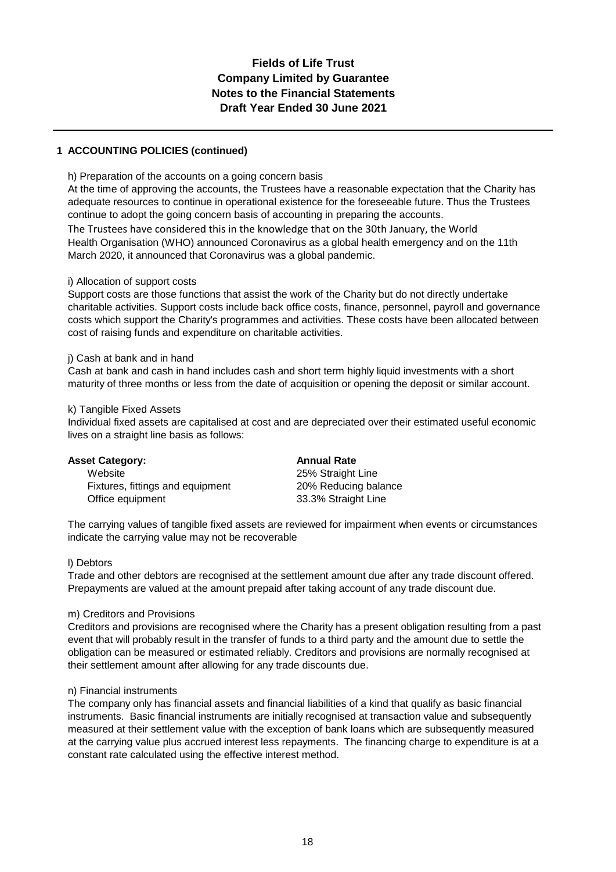#### **1 ACCOUNTING POLICIES (continued)**

#### h) Preparation of the accounts on a going concern basis

At the time of approving the accounts, the Trustees have a reasonable expectation that the Charity has adequate resources to continue in operational existence for the foreseeable future. Thus the Trustees continue to adopt the going concern basis of accounting in preparing the accounts.

The Trustees have considered this in the knowledge that on the 30th January, the World Health Organisation (WHO) announced Coronavirus as a global health emergency and on the 11th March 2020, it announced that Coronavirus was a global pandemic.

#### i) Allocation of support costs

Support costs are those functions that assist the work of the Charity but do not directly undertake charitable activities. Support costs include back office costs, finance, personnel, payroll and governance costs which support the Charity's programmes and activities. These costs have been allocated between cost of raising funds and expenditure on charitable activities.

#### j) Cash at bank and in hand

Cash at bank and cash in hand includes cash and short term highly liquid investments with a short maturity of three months or less from the date of acquisition or opening the deposit or similar account.

#### k) Tangible Fixed Assets

Individual fixed assets are capitalised at cost and are depreciated over their estimated useful economic lives on a straight line basis as follows:

| <b>Asset Category:</b>           | <b>Annual Rate</b>   |
|----------------------------------|----------------------|
| Website                          | 25% Straight Line    |
| Fixtures, fittings and equipment | 20% Reducing balance |
| Office equipment                 | 33.3% Straight Line  |

The carrying values of tangible fixed assets are reviewed for impairment when events or circumstances indicate the carrying value may not be recoverable

#### l) Debtors

Trade and other debtors are recognised at the settlement amount due after any trade discount offered. Prepayments are valued at the amount prepaid after taking account of any trade discount due.

#### m) Creditors and Provisions

Creditors and provisions are recognised where the Charity has a present obligation resulting from a past event that will probably result in the transfer of funds to a third party and the amount due to settle the obligation can be measured or estimated reliably. Creditors and provisions are normally recognised at their settlement amount after allowing for any trade discounts due.

#### n) Financial instruments

The company only has financial assets and financial liabilities of a kind that qualify as basic financial instruments. Basic financial instruments are initially recognised at transaction value and subsequently measured at their settlement value with the exception of bank loans which are subsequently measured at the carrying value plus accrued interest less repayments. The financing charge to expenditure is at a constant rate calculated using the effective interest method.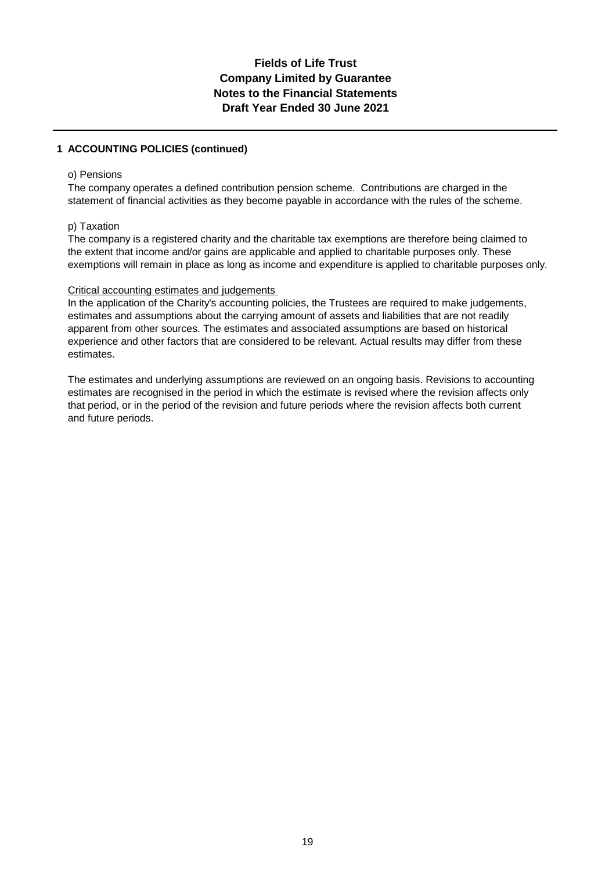#### **1 ACCOUNTING POLICIES (continued)**

#### o) Pensions

The company operates a defined contribution pension scheme. Contributions are charged in the statement of financial activities as they become payable in accordance with the rules of the scheme.

#### p) Taxation

The company is a registered charity and the charitable tax exemptions are therefore being claimed to the extent that income and/or gains are applicable and applied to charitable purposes only. These exemptions will remain in place as long as income and expenditure is applied to charitable purposes only.

#### Critical accounting estimates and judgements

In the application of the Charity's accounting policies, the Trustees are required to make judgements, estimates and assumptions about the carrying amount of assets and liabilities that are not readily apparent from other sources. The estimates and associated assumptions are based on historical experience and other factors that are considered to be relevant. Actual results may differ from these estimates.

The estimates and underlying assumptions are reviewed on an ongoing basis. Revisions to accounting estimates are recognised in the period in which the estimate is revised where the revision affects only that period, or in the period of the revision and future periods where the revision affects both current and future periods.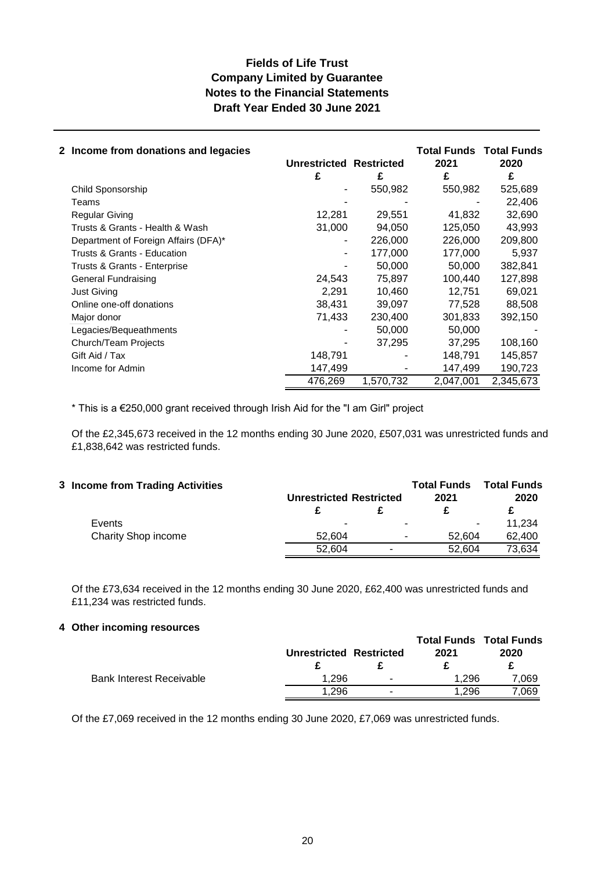| 2 Income from donations and legacies |                         |           | <b>Total Funds Total Funds</b> |           |
|--------------------------------------|-------------------------|-----------|--------------------------------|-----------|
|                                      | Unrestricted Restricted |           | 2021                           | 2020      |
|                                      | £                       | £         | £                              | £         |
| Child Sponsorship                    |                         | 550,982   | 550,982                        | 525,689   |
| Teams                                |                         |           |                                | 22,406    |
| <b>Regular Giving</b>                | 12,281                  | 29,551    | 41,832                         | 32,690    |
| Trusts & Grants - Health & Wash      | 31,000                  | 94,050    | 125,050                        | 43,993    |
| Department of Foreign Affairs (DFA)* |                         | 226,000   | 226,000                        | 209,800   |
| Trusts & Grants - Education          | -                       | 177.000   | 177.000                        | 5.937     |
| Trusts & Grants - Enterprise         |                         | 50,000    | 50,000                         | 382,841   |
| General Fundraising                  | 24,543                  | 75,897    | 100,440                        | 127,898   |
| <b>Just Giving</b>                   | 2,291                   | 10,460    | 12,751                         | 69,021    |
| Online one-off donations             | 38,431                  | 39,097    | 77,528                         | 88,508    |
| Major donor                          | 71,433                  | 230,400   | 301,833                        | 392,150   |
| Legacies/Bequeathments               |                         | 50,000    | 50,000                         |           |
| Church/Team Projects                 |                         | 37,295    | 37,295                         | 108,160   |
| Gift Aid / Tax                       | 148,791                 |           | 148,791                        | 145,857   |
| Income for Admin                     | 147,499                 |           | 147,499                        | 190,723   |
|                                      | 476,269                 | 1,570,732 | 2,047,001                      | 2,345,673 |

\* This is a €250,000 grant received through Irish Aid for the "I am Girl" project

Of the £2,345,673 received in the 12 months ending 30 June 2020, £507,031 was unrestricted funds and £1,838,642 was restricted funds.

| 3 Income from Trading Activities | <b>Unrestricted Restricted</b> |                          | <b>Total Funds</b><br>2021 | <b>Total Funds</b><br>2020 |
|----------------------------------|--------------------------------|--------------------------|----------------------------|----------------------------|
|                                  |                                |                          |                            |                            |
| Events                           | -                              | $\overline{\phantom{0}}$ | $\overline{\phantom{0}}$   | 11.234                     |
| Charity Shop income              | 52.604                         | $\overline{\phantom{a}}$ | 52.604                     | 62,400                     |
|                                  | 52.604                         |                          | 52.604                     | 73,634                     |

Of the £73,634 received in the 12 months ending 30 June 2020, £62,400 was unrestricted funds and £11,234 was restricted funds.

#### **4 Other incoming resources**

|                                 |                         |                          |       | <b>Total Funds Total Funds</b> |
|---------------------------------|-------------------------|--------------------------|-------|--------------------------------|
|                                 | Unrestricted Restricted |                          | 2021  | 2020                           |
|                                 |                         |                          |       |                                |
| <b>Bank Interest Receivable</b> | 1.296                   | $\overline{\phantom{a}}$ | 1.296 | 7.069                          |
|                                 | 1.296                   |                          | 1.296 | 7.069                          |

Of the £7,069 received in the 12 months ending 30 June 2020, £7,069 was unrestricted funds.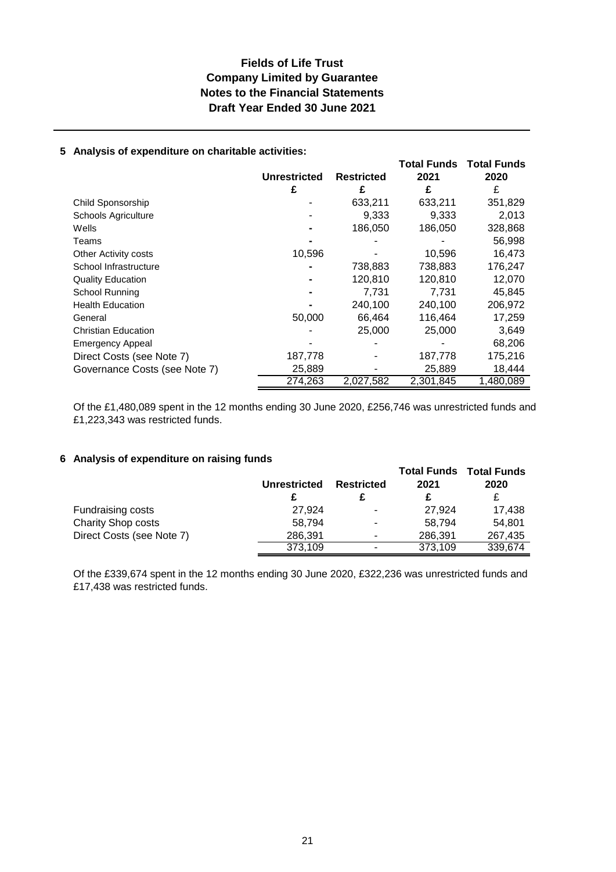## **Company Limited by Guarantee Fields of Life Trust Notes to the Financial Statements Draft Year Ended 30 June 2021**

#### **5 Analysis of expenditure on charitable activities:**

|                               |              |                   | <b>Total Funds</b> | <b>Total Funds</b> |
|-------------------------------|--------------|-------------------|--------------------|--------------------|
|                               | Unrestricted | <b>Restricted</b> | 2021               | 2020               |
|                               | £            | £                 | £                  | £                  |
| Child Sponsorship             |              | 633,211           | 633,211            | 351,829            |
| <b>Schools Agriculture</b>    |              | 9,333             | 9,333              | 2,013              |
| Wells                         |              | 186,050           | 186,050            | 328,868            |
| Teams                         |              |                   |                    | 56,998             |
| Other Activity costs          | 10,596       |                   | 10,596             | 16,473             |
| School Infrastructure         |              | 738,883           | 738,883            | 176,247            |
| <b>Quality Education</b>      |              | 120,810           | 120,810            | 12,070             |
| School Running                |              | 7,731             | 7,731              | 45,845             |
| <b>Health Education</b>       |              | 240,100           | 240,100            | 206,972            |
| General                       | 50,000       | 66,464            | 116,464            | 17,259             |
| <b>Christian Education</b>    |              | 25,000            | 25,000             | 3,649              |
| <b>Emergency Appeal</b>       |              |                   |                    | 68,206             |
| Direct Costs (see Note 7)     | 187,778      |                   | 187,778            | 175,216            |
| Governance Costs (see Note 7) | 25,889       |                   | 25,889             | 18,444             |
|                               | 274,263      | 2,027,582         | 2,301,845          | 1,480,089          |

Of the £1,480,089 spent in the 12 months ending 30 June 2020, £256,746 was unrestricted funds and £1,223,343 was restricted funds.

#### **6 Analysis of expenditure on raising funds**

|                           | <b>Unrestricted</b> | <b>Restricted</b> | <b>Total Funds</b><br>2021 | <b>Total Funds</b><br>2020 |
|---------------------------|---------------------|-------------------|----------------------------|----------------------------|
|                           |                     |                   |                            | £                          |
| Fundraising costs         | 27,924              | ٠                 | 27.924                     | 17,438                     |
| <b>Charity Shop costs</b> | 58.794              | ٠                 | 58.794                     | 54.801                     |
| Direct Costs (see Note 7) | 286,391             | ۰                 | 286,391                    | 267,435                    |
|                           | 373,109             | ٠                 | 373,109                    | 339,674                    |

Of the £339,674 spent in the 12 months ending 30 June 2020, £322,236 was unrestricted funds and £17,438 was restricted funds.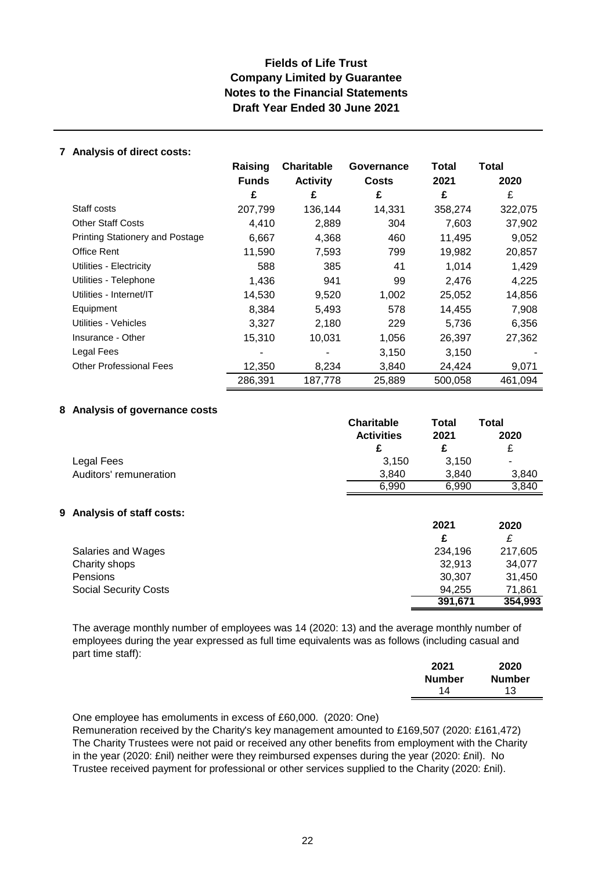#### **7 Analysis of direct costs:**

|                                        | Raising      | <b>Charitable</b> | Governance | Total   | <b>Total</b> |
|----------------------------------------|--------------|-------------------|------------|---------|--------------|
|                                        | <b>Funds</b> | <b>Activity</b>   | Costs      | 2021    | 2020         |
|                                        | £            | £                 | £          | £       | £            |
| Staff costs                            | 207,799      | 136,144           | 14,331     | 358,274 | 322,075      |
| <b>Other Staff Costs</b>               | 4,410        | 2,889             | 304        | 7,603   | 37,902       |
| <b>Printing Stationery and Postage</b> | 6,667        | 4,368             | 460        | 11,495  | 9,052        |
| Office Rent                            | 11,590       | 7,593             | 799        | 19,982  | 20,857       |
| Utilities - Electricity                | 588          | 385               | 41         | 1,014   | 1,429        |
| Utilities - Telephone                  | 1,436        | 941               | 99         | 2,476   | 4,225        |
| Utilities - Internet/IT                | 14,530       | 9,520             | 1,002      | 25,052  | 14,856       |
| Equipment                              | 8,384        | 5,493             | 578        | 14,455  | 7,908        |
| Utilities - Vehicles                   | 3,327        | 2,180             | 229        | 5,736   | 6,356        |
| Insurance - Other                      | 15,310       | 10,031            | 1,056      | 26,397  | 27,362       |
| Legal Fees                             |              |                   | 3,150      | 3,150   |              |
| <b>Other Professional Fees</b>         | 12,350       | 8,234             | 3,840      | 24,424  | 9,071        |
|                                        | 286,391      | 187,778           | 25,889     | 500,058 | 461,094      |

#### **8 Analysis of governance costs**

|                        | <b>Charitable</b> | Total | <b>Total</b>             |  |
|------------------------|-------------------|-------|--------------------------|--|
|                        | <b>Activities</b> | 2021  | 2020                     |  |
|                        |                   |       | £                        |  |
| Legal Fees             | 3.150             | 3.150 | $\overline{\phantom{a}}$ |  |
| Auditors' remuneration | 3.840             | 3.840 | 3.840                    |  |
|                        | 6.990             | 6.990 | 3.840                    |  |

#### **9 Analysis of staff costs:**

|                              | 2021    | 2020    |
|------------------------------|---------|---------|
|                              |         | £       |
| Salaries and Wages           | 234,196 | 217,605 |
| Charity shops                | 32.913  | 34.077  |
| <b>Pensions</b>              | 30,307  | 31,450  |
| <b>Social Security Costs</b> | 94.255  | 71,861  |
|                              | 391,671 | 354,993 |

The average monthly number of employees was 14 (2020: 13) and the average monthly number of employees during the year expressed as full time equivalents was as follows (including casual and part time staff):

| 2021          | 2020          |
|---------------|---------------|
| <b>Number</b> | <b>Number</b> |
| 14            | 13            |

One employee has emoluments in excess of £60,000. (2020: One)

Remuneration received by the Charity's key management amounted to £169,507 (2020: £161,472) The Charity Trustees were not paid or received any other benefits from employment with the Charity in the year (2020: £nil) neither were they reimbursed expenses during the year (2020: £nil). No Trustee received payment for professional or other services supplied to the Charity (2020: £nil).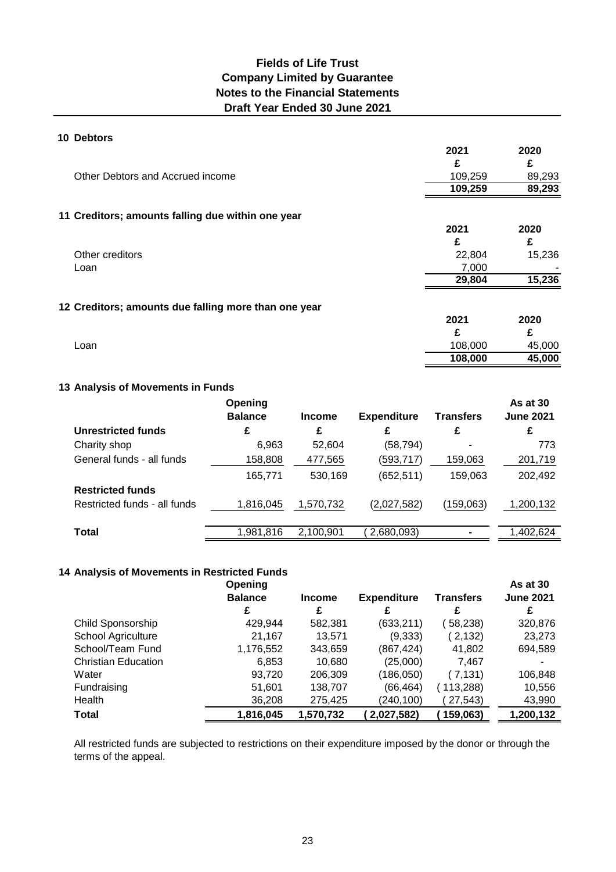#### **10 Debtors**

|                                                      | 2021    | 2020   |
|------------------------------------------------------|---------|--------|
|                                                      | £       | £      |
| Other Debtors and Accrued income                     | 109,259 | 89,293 |
|                                                      | 109,259 | 89,293 |
| 11 Creditors; amounts falling due within one year    |         |        |
|                                                      | 2021    | 2020   |
|                                                      | £       | £      |
| Other creditors                                      | 22,804  | 15,236 |
| Loan                                                 | 7,000   |        |
|                                                      | 29,804  | 15,236 |
| 12 Creditors; amounts due falling more than one year |         |        |
|                                                      | 2021    | 2020   |
|                                                      | £       | £      |
| Loan                                                 | 108,000 | 45,000 |
|                                                      | 108,000 | 45,000 |

#### **13 Analysis of Movements in Funds**

|                              | Opening<br><b>Balance</b> | <b>Income</b> | <b>Expenditure</b> | <b>Transfers</b> | As at 30<br><b>June 2021</b> |
|------------------------------|---------------------------|---------------|--------------------|------------------|------------------------------|
| <b>Unrestricted funds</b>    | £                         | £             | £                  | £                | £                            |
| Charity shop                 | 6,963                     | 52.604        | (58, 794)          | -                | 773                          |
| General funds - all funds    | 158,808                   | 477,565       | (593, 717)         | 159,063          | 201,719                      |
|                              | 165,771                   | 530,169       | (652, 511)         | 159,063          | 202,492                      |
| <b>Restricted funds</b>      |                           |               |                    |                  |                              |
| Restricted funds - all funds | 1,816,045                 | 1,570,732     | (2,027,582)        | (159,063)        | 1,200,132                    |
|                              |                           |               |                    |                  |                              |
| <b>Total</b>                 | 1,981,816                 | 2,100,901     | 2,680,093)         |                  | 1,402,624                    |

#### **14 Analysis of Movements in Restricted Funds**

|                            | Opening        |               |                    |           | <b>As at 30</b>  |
|----------------------------|----------------|---------------|--------------------|-----------|------------------|
|                            | <b>Balance</b> | <b>Income</b> | <b>Expenditure</b> | Transfers | <b>June 2021</b> |
|                            | £              | £             | £                  | £         | £                |
| Child Sponsorship          | 429,944        | 582,381       | (633, 211)         | 58,238)   | 320,876          |
| School Agriculture         | 21,167         | 13,571        | (9,333)            | (2,132)   | 23,273           |
| School/Team Fund           | 1,176,552      | 343,659       | (867,424)          | 41,802    | 694,589          |
| <b>Christian Education</b> | 6,853          | 10,680        | (25,000)           | 7,467     |                  |
| Water                      | 93,720         | 206,309       | (186,050)          | ( 7,131)  | 106,848          |
| Fundraising                | 51,601         | 138,707       | (66, 464)          | 113,288)  | 10,556           |
| Health                     | 36,208         | 275,425       | (240, 100)         | 27,543)   | 43,990           |
| Total                      | 1,816,045      | 1,570,732     | 2,027,582)         | 159,063)  | 1,200,132        |

All restricted funds are subjected to restrictions on their expenditure imposed by the donor or through the terms of the appeal.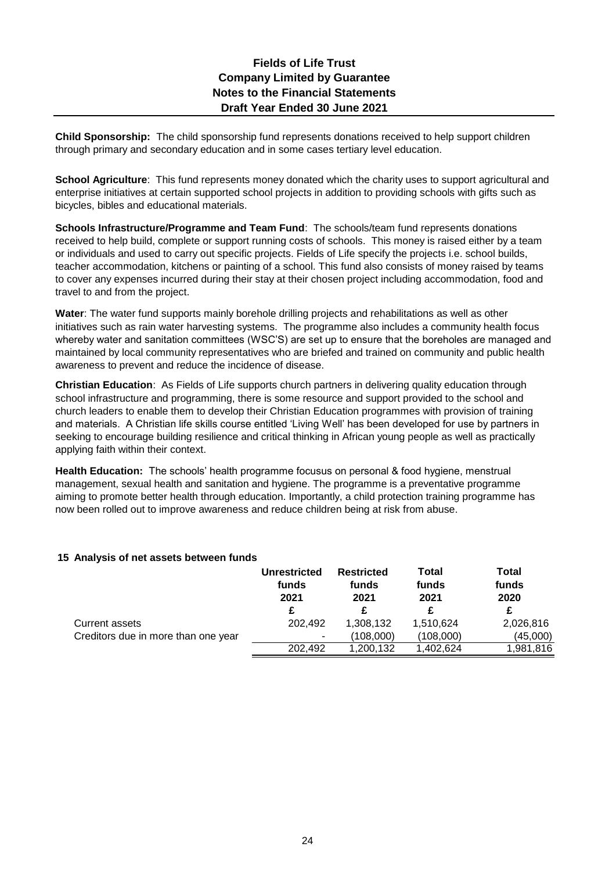**Child Sponsorship:** The child sponsorship fund represents donations received to help support children through primary and secondary education and in some cases tertiary level education.

**School Agriculture**: This fund represents money donated which the charity uses to support agricultural and enterprise initiatives at certain supported school projects in addition to providing schools with gifts such as bicycles, bibles and educational materials.

**Schools Infrastructure/Programme and Team Fund**: The schools/team fund represents donations received to help build, complete or support running costs of schools. This money is raised either by a team or individuals and used to carry out specific projects. Fields of Life specify the projects i.e. school builds, teacher accommodation, kitchens or painting of a school. This fund also consists of money raised by teams to cover any expenses incurred during their stay at their chosen project including accommodation, food and travel to and from the project.

**Water**: The water fund supports mainly borehole drilling projects and rehabilitations as well as other initiatives such as rain water harvesting systems. The programme also includes a community health focus whereby water and sanitation committees (WSC'S) are set up to ensure that the boreholes are managed and maintained by local community representatives who are briefed and trained on community and public health awareness to prevent and reduce the incidence of disease.

**Christian Education**: As Fields of Life supports church partners in delivering quality education through school infrastructure and programming, there is some resource and support provided to the school and church leaders to enable them to develop their Christian Education programmes with provision of training and materials. A Christian life skills course entitled 'Living Well' has been developed for use by partners in seeking to encourage building resilience and critical thinking in African young people as well as practically applying faith within their context.

**Health Education:** The schools' health programme focusus on personal & food hygiene, menstrual management, sexual health and sanitation and hygiene. The programme is a preventative programme aiming to promote better health through education. Importantly, a child protection training programme has now been rolled out to improve awareness and reduce children being at risk from abuse.

#### **15 Analysis of net assets between funds**

|                                     | <b>Unrestricted</b><br>funds<br>2021 | <b>Restricted</b><br>funds<br>2021 | Total<br>funds<br>2021 | <b>Total</b><br>funds<br>2020 |
|-------------------------------------|--------------------------------------|------------------------------------|------------------------|-------------------------------|
|                                     | £                                    |                                    |                        | £                             |
| Current assets                      | 202.492                              | 1,308,132                          | 1,510,624              | 2,026,816                     |
| Creditors due in more than one year | ۰                                    | (108,000)                          | (108,000)              | (45,000)                      |
|                                     | 202.492                              | 1,200,132                          | ,402,624               | 1,981,816                     |